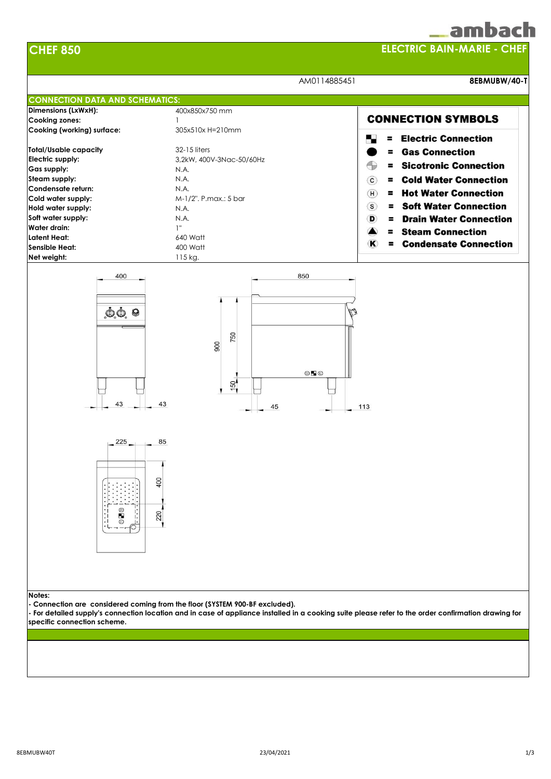| <b>CHEF 850</b>                                                                                                                                                                                                                                         | <b>ELECTRIC BAIN-MARIE - CHEF</b>                                                                                                                  |                                                                                                                                                                                                                                                                                                                                                                                                                  |
|---------------------------------------------------------------------------------------------------------------------------------------------------------------------------------------------------------------------------------------------------------|----------------------------------------------------------------------------------------------------------------------------------------------------|------------------------------------------------------------------------------------------------------------------------------------------------------------------------------------------------------------------------------------------------------------------------------------------------------------------------------------------------------------------------------------------------------------------|
|                                                                                                                                                                                                                                                         |                                                                                                                                                    | AM0114885451<br>8EBMUBW/40-T                                                                                                                                                                                                                                                                                                                                                                                     |
| <b>CONNECTION DATA AND SCHEMATICS:</b>                                                                                                                                                                                                                  |                                                                                                                                                    |                                                                                                                                                                                                                                                                                                                                                                                                                  |
| Dimensions (LxWxH):<br><b>Cooking zones:</b><br>Cooking (working) surface:                                                                                                                                                                              | 400x850x750 mm<br>1<br>305x510x H=210mm                                                                                                            | <b>CONNECTION SYMBOLS</b>                                                                                                                                                                                                                                                                                                                                                                                        |
| <b>Total/Usable capacity</b><br>Electric supply:<br>Gas supply:<br>Steam supply:<br>Condensate return:<br>Cold water supply:<br>Hold water supply:<br>Soft water supply:<br>Water drain:<br><b>Latent Heat:</b><br><b>Sensible Heat:</b><br>Net weight: | 32-15 liters<br>3,2kW, 400V-3Nac-50/60Hz<br>N.A.<br>N.A.<br>N.A.<br>M-1/2", P.max.: 5 bar<br>N.A.<br>N.A.<br>1"<br>640 Watt<br>400 Watt<br>115 kg. | <b>= Electric Connection</b><br><b>= Gas Connection</b><br>$\bigoplus$<br><b>Sicotronic Connection</b><br>$\equiv$<br><b>= Cold Water Connection</b><br>$\circ$<br><b>Hot Water Connection</b><br>$\mathbf{H}$<br><b>= Soft Water Connection</b><br>$\circ$<br><b>Drain Water Connection</b><br>$\mathbf D$<br>$=$<br><b>Steam Connection</b><br>$\blacksquare$<br><b>Condensate Connection</b><br>$\bf K$<br>Ξ. |
| $\mathbf{0} \mathbf{0}$ , $\mathbf{0}$<br>43                                                                                                                                                                                                            | 750<br>900<br>$\circ$ Fo<br>$\frac{150}{ }$<br>43<br>45                                                                                            | M<br>113                                                                                                                                                                                                                                                                                                                                                                                                         |
| 225<br>$^{\circ}$<br>ш<br>$\odot$                                                                                                                                                                                                                       | 85<br>400<br>220                                                                                                                                   |                                                                                                                                                                                                                                                                                                                                                                                                                  |
| Notes:<br>specific connection scheme.                                                                                                                                                                                                                   | - Connection are considered coming from the floor (SYSTEM 900-BF excluded).                                                                        | For detailed supply's connection location and in case of appliance installed in a cooking suite please refer to the order confirmation drawing for                                                                                                                                                                                                                                                               |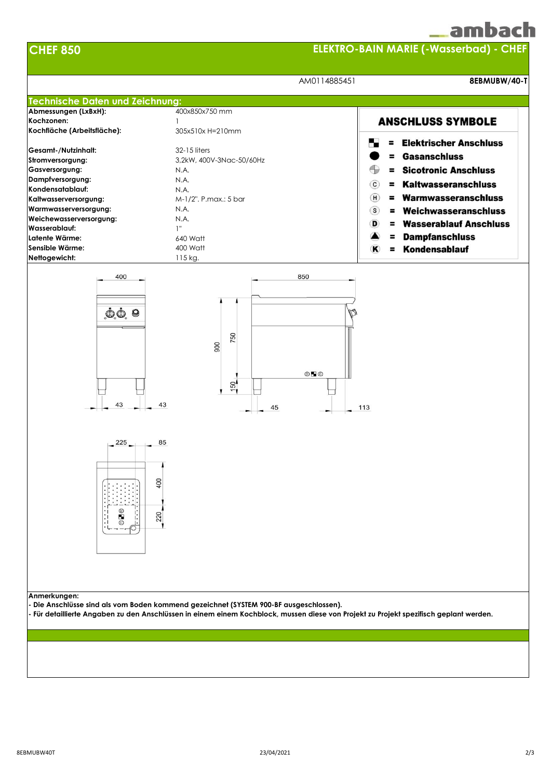## amhach